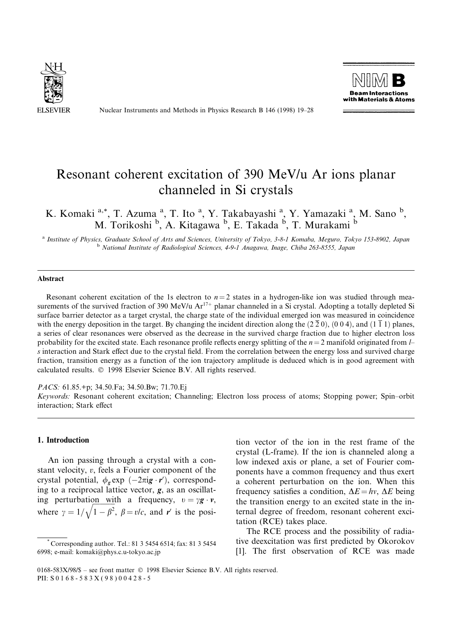

Nuclear Instruments and Methods in Physics Research B 146 (1998) 19-28



# Resonant coherent excitation of 390 MeV/u Ar ions planar channeled in Si crystals

K. Komaki<sup>a,\*</sup>, T. Azuma<sup>a</sup>, T. Ito<sup>a</sup>, Y. Takabayashi<sup>a</sup>, Y. Yamazaki<sup>a</sup>, M. Sano<sup>b</sup>, M. Torikoshi <sup>b</sup>, A. Kitagawa <sup>b</sup>, E. Takada <sup>b</sup>, T. Murakami <sup>b</sup>

a Institute of Physics, Graduate School of Arts and Sciences, University of Tokyo, 3-8-1 Komaba, Meguro, Tokyo 153-8902, Japan b National Institute of Radiological Sciences, 4-9-1 Anagawa, Inage, Chiba 263-8555, Japan

#### Abstract

Resonant coherent excitation of the 1s electron to  $n = 2$  states in a hydrogen-like ion was studied through measurements of the survived fraction of 390 MeV/u  $Ar^{17+}$  planar channeled in a Si crystal. Adopting a totally depleted Si surface barrier detector as a target crystal, the charge state of the individual emerged ion was measured in coincidence with the energy deposition in the target. By changing the incident direction along the  $(2\bar{2}0)$ ,  $(0\ 0\ 4)$ , and  $(1\bar{1}1)$  planes, a series of clear resonances were observed as the decrease in the survived charge fraction due to higher electron loss probability for the excited state. Each resonance profile reflects energy splitting of the  $n = 2$  manifold originated from  $\mu$ s interaction and Stark effect due to the crystal field. From the correlation between the energy loss and survived charge fraction, transition energy as a function of the ion trajectory amplitude is deduced which is in good agreement with calculated results. Ó 1998 Elsevier Science B.V. All rights reserved.

PACS: 61.85.+p; 34.50.Fa; 34.50.Bw; 71.70.Ej

Keywords: Resonant coherent excitation; Channeling; Electron loss process of atoms; Stopping power; Spin±orbit interaction: Stark effect

## 1. Introduction

An ion passing through a crystal with a constant velocity, v, feels a Fourier component of the crystal potential,  $\phi_{g}$ exp  $(-2\pi i g \cdot r')$ , corresponding to a reciprocal lattice vector,  $g$ , as an oscillating perturbation with a frequency,  $v = \gamma g \cdot v$ , where  $\gamma = 1/\sqrt{1-\beta^2}$ ,  $\beta = v/c$ , and r' is the posi-

tion vector of the ion in the rest frame of the crystal (L-frame). If the ion is channeled along a low indexed axis or plane, a set of Fourier components have a common frequency and thus exert a coherent perturbation on the ion. When this frequency satisfies a condition,  $\Delta E = hv$ ,  $\Delta E$  being the transition energy to an excited state in the internal degree of freedom, resonant coherent excitation (RCE) takes place.

The RCE process and the possibility of radiative deexcitation was first predicted by Okorokov [1]. The first observation of RCE was made

<sup>\*</sup> Corresponding author. Tel.: 81 3 5454 6514; fax: 81 3 5454 6998; e-mail: komaki@phys.c.u-tokyo.ac.jp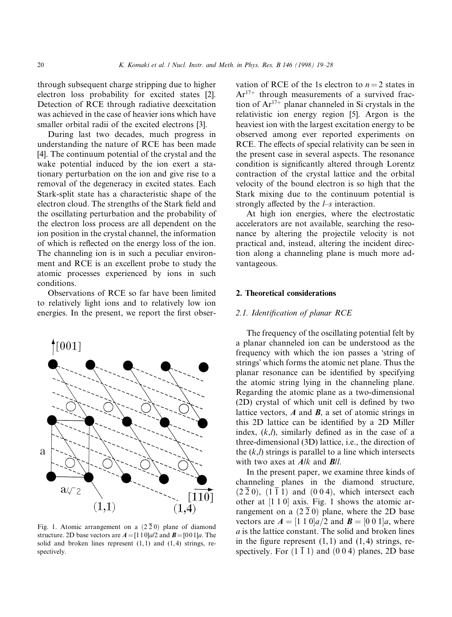through subsequent charge stripping due to higher electron loss probability for excited states [2]. Detection of RCE through radiative deexcitation was achieved in the case of heavier ions which have smaller orbital radii of the excited electrons [3].

During last two decades, much progress in understanding the nature of RCE has been made [4]. The continuum potential of the crystal and the wake potential induced by the ion exert a stationary perturbation on the ion and give rise to a removal of the degeneracy in excited states. Each Stark-split state has a characteristic shape of the electron cloud. The strengths of the Stark field and the oscillating perturbation and the probability of the electron loss process are all dependent on the ion position in the crystal channel, the information of which is reflected on the energy loss of the ion. The channeling ion is in such a peculiar environment and RCE is an excellent probe to study the atomic processes experienced by ions in such conditions.

Observations of RCE so far have been limited to relatively light ions and to relatively low ion energies. In the present, we report the first obser-



Fig. 1. Atomic arrangement on a  $(2\bar{2} 0)$  plane of diamond structure. 2D base vectors are  $A = [110]a/2$  and  $B = [001]a$ . The solid and broken lines represent (1,1) and (1,4) strings, respectively.

vation of RCE of the 1s electron to  $n = 2$  states in  $Ar<sup>17+</sup>$  through measurements of a survived fraction of  $Ar^{17+}$  planar channeled in Si crystals in the relativistic ion energy region [5]. Argon is the heaviest ion with the largest excitation energy to be observed among ever reported experiments on RCE. The effects of special relativity can be seen in the present case in several aspects. The resonance condition is significantly altered through Lorentz contraction of the crystal lattice and the orbital velocity of the bound electron is so high that the Stark mixing due to the continuum potential is strongly affected by the  $l$ -s interaction.

At high ion energies, where the electrostatic accelerators are not available, searching the resonance by altering the projectile velocity is not practical and, instead, altering the incident direction along a channeling plane is much more advantageous.

# 2. Theoretical considerations

## 2.1. Identification of planar RCE

The frequency of the oscillating potential felt by a planar channeled ion can be understood as the frequency with which the ion passes a 'string of strings' which forms the atomic net plane. Thus the planar resonance can be identified by specifying the atomic string lying in the channeling plane. Regarding the atomic plane as a two-dimensional  $(2D)$  crystal of which unit cell is defined by two lattice vectors,  $A$  and  $B$ , a set of atomic strings in this 2D lattice can be identified by a 2D Miller index,  $(k,l)$ , similarly defined as in the case of a three-dimensional (3D) lattice, i.e., the direction of the  $(k,l)$  strings is parallel to a line which intersects with two axes at  $A/k$  and  $B/l$ .

In the present paper, we examine three kinds of channeling planes in the diamond structure,  $(2\overline{2}0)$ ,  $(1\overline{1}1)$  and  $(0\overline{0}4)$ , which intersect each other at  $[1 1 0]$  axis. Fig. 1 shows the atomic arrangement on a  $(2\bar{2}0)$  plane, where the 2D base vectors are  $A = \begin{bmatrix} 1 & 1 & 0 \end{bmatrix} a/2$  and  $B = \begin{bmatrix} 0 & 0 & 1 \end{bmatrix} a$ , where a is the lattice constant. The solid and broken lines in the figure represent  $(1,1)$  and  $(1,4)$  strings, respectively. For  $(1\bar{1}1)$  and  $(0\bar{0}\bar{4})$  planes, 2D base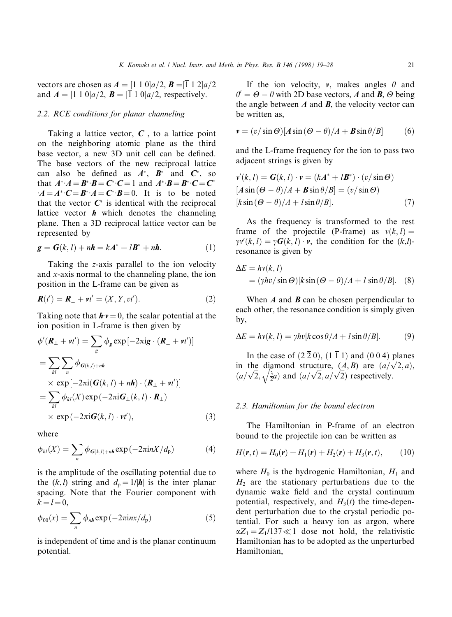vectors are chosen as  $A = \begin{bmatrix} 1 & 1 & 0 \end{bmatrix} a/2$ ,  $B = \begin{bmatrix} 1 & 1 & 2 \end{bmatrix} a/2$ and  $A = \begin{bmatrix} 1 & 1 & 0 \end{bmatrix} a/2$ ,  $B = \begin{bmatrix} 1 & 1 & 0 \end{bmatrix} a/2$ , respectively.

# 2.2. RCE conditions for planar channeling

Taking a lattice vector,  $C$ , to a lattice point on the neighboring atomic plane as the third base vector, a new 3D unit cell can be defined. The base vectors of the new reciprocal lattice can also be defined as  $A^*$ ,  $B^*$  and  $C^*$ , so that  $A^*A = B^*B = C^*C = 1$  and  $A^*B = B^*C = C^*$  $A = A^*C = B^*A = C^*B = 0$ . It is to be noted that the vector  $C^*$  is identical with the reciprocal lattice vector  $h$  which denotes the channeling plane. Then a 3D reciprocal lattice vector can be represented by

$$
\mathbf{g} = \mathbf{G}(k, l) + n\mathbf{h} = k\mathbf{A}^* + l\mathbf{B}^* + n\mathbf{h}.\tag{1}
$$

Taking the z-axis parallel to the ion velocity and x-axis normal to the channeling plane, the ion position in the L-frame can be given as

$$
\mathbf{R}(t') = \mathbf{R}_{\perp} + \mathbf{v}t' = (X, Y, vt'). \tag{2}
$$

Taking note that  $h\nu = 0$ , the scalar potential at the ion position in L-frame is then given by

$$
\phi'(\mathbf{R}_{\perp} + v t') = \sum_{g} \phi_{g} \exp[-2\pi i g \cdot (\mathbf{R}_{\perp} + v t')] \n= \sum_{kl} \sum_{n} \phi_{G(k,l)+nh} \n\times \exp[-2\pi i (\mathbf{G}(k,l) + n\mathbf{h}) \cdot (\mathbf{R}_{\perp} + v t')] \n= \sum_{kl} \phi_{kl}(X) \exp(-2\pi i \mathbf{G}_{\perp}(k,l) \cdot \mathbf{R}_{\perp}) \n\times \exp(-2\pi i \mathbf{G}(k,l) \cdot v t'), \tag{3}
$$

where

$$
\phi_{kl}(X) = \sum_{n} \phi_{G(k,l)+n\mathbf{h}} \exp\left(-2\pi i n X/d_p\right) \tag{4}
$$

is the amplitude of the oscillating potential due to the  $(k, l)$  string and  $d_p = 1/|h|$  is the inter planar spacing. Note that the Fourier component with  $k = l = 0$ .

$$
\phi_{00}(x) = \sum_{n} \phi_{n\mathbf{h}} \exp\left(-2\pi i n x/d_p\right) \tag{5}
$$

is independent of time and is the planar continuum potential.

If the ion velocity,  $v$ , makes angles  $\theta$  and  $\theta' = \Theta - \theta$  with 2D base vectors, A and B,  $\Theta$  being the angle between  $\vec{A}$  and  $\vec{B}$ , the velocity vector can be written as,

$$
\mathbf{v} = (v/\sin\Theta)[A\sin(\Theta - \theta)/A + B\sin\theta/B] \tag{6}
$$

and the L-frame frequency for the ion to pass two adjacent strings is given by

$$
v'(k, l) = G(k, l) \cdot v = (kA^* + lB^*) \cdot (v/\sin \Theta)
$$
  
[*A* sin ( $\Theta - \theta$ )/*A* + *B* sin  $\theta$ /*B*] = (*v*/sin  $\Theta$ )  
[*k* sin ( $\Theta - \theta$ )/*A* + *l* sin  $\theta$ /*B*]. (7)

As the frequency is transformed to the rest frame of the projectile (P-frame) as  $v(k, l)$  =  $\gamma v'(k,l) = \gamma G(k,l) \cdot v$ , the condition for the  $(k,l)$ resonance is given by

$$
\Delta E = hv(k, l)
$$
  
=  $(\gamma hv/\sin \Theta)[k \sin (\Theta - \theta)/A + l \sin \theta/B].$  (8)

When  $\vec{A}$  and  $\vec{B}$  can be chosen perpendicular to each other, the resonance condition is simply given by,

$$
\Delta E = hv(k, l) = \gamma hv[k\cos\theta/A + l\sin\theta/B]. \tag{9}
$$

In the case of  $(2\bar{2}0)$ ,  $(1\bar{1}1)$  and  $(0\bar{0}4)$  planes In the case of  $(220)$ ,  $(111)$  and  $(004)$  planes<br>in the diamond structure,  $(A, B)$  are  $(a/\sqrt{2}, a)$ , in the dia<br> $\left(a/\sqrt{2}, \sqrt{\frac{3}{2}}\right)$ diamond structure,  $(A, B)$  are  $(a/\sqrt{2})$ <br> $\sqrt{\frac{3}{2}}a$  and  $(a/\sqrt{2}, a/\sqrt{2})$  respectively.

#### 2.3. Hamiltonian for the bound electron

The Hamiltonian in P-frame of an electron bound to the projectile ion can be written as

$$
H(\mathbf{r},t) = H_0(\mathbf{r}) + H_1(\mathbf{r}) + H_2(\mathbf{r}) + H_3(\mathbf{r},t), \quad (10)
$$

where  $H_0$  is the hydrogenic Hamiltonian,  $H_1$  and  $H<sub>2</sub>$  are the stationary perturbations due to the dynamic wake field and the crystal continuum potential, respectively, and  $H_3(t)$  the time-dependent perturbation due to the crystal periodic potential. For such a heavy ion as argon, where  $\alpha Z_1 = Z_1/137 \ll 1$  dose not hold, the relativistic Hamiltonian has to be adopted as the unperturbed Hamiltonian,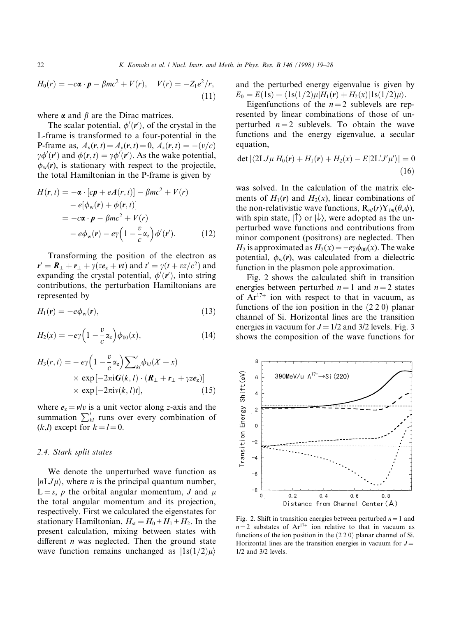$$
H_0(r) = -c\mathbf{\alpha} \cdot \mathbf{p} - \beta mc^2 + V(r), \quad V(r) = -Z_1 e^2 / r,
$$
\n(11)

where  $\alpha$  and  $\beta$  are the Dirac matrices.

The scalar potential,  $\phi'(r')$ , of the crystal in the L-frame is transformed to a four-potential in the P-frame as,  $A_x(r, t) = A_y(r, t) = 0$ ,  $A_z(r, t) = -(v/c)$  $\gamma \phi'(\mathbf{r}')$  and  $\phi(\mathbf{r}, t) = \gamma \phi'(\mathbf{r}')$ . As the wake potential,  $\phi_w(r)$ , is stationary with respect to the projectile, the total Hamiltonian in the P-frame is given by

$$
H(\mathbf{r}, t) = -\boldsymbol{\alpha} \cdot [c\boldsymbol{p} + e\boldsymbol{A}(r, t)] - \beta mc^2 + V(r)
$$
  
\n
$$
- e[\phi_{\mathbf{w}}(\mathbf{r}) + \phi(\mathbf{r}, t)]
$$
  
\n
$$
= -c\boldsymbol{\alpha} \cdot \boldsymbol{p} - \beta mc^2 + V(r)
$$
  
\n
$$
- e\phi_{\mathbf{w}}(\mathbf{r}) - e\gamma \left(1 - \frac{v}{c}\alpha_z\right) \phi'(\mathbf{r}').
$$
 (12)

Transforming the position of the electron as  $\mathbf{r}' = \mathbf{R}_{\perp} + \mathbf{r}_{\perp} + \gamma(z\mathbf{e}_z + \mathbf{v}t)$  and  $t' = \gamma(t + vz/c^2)$  and expanding the crystal potential,  $\phi'(\mathbf{r}')$ , into string contributions, the perturbation Hamiltonians are represented by

$$
H_1(\mathbf{r}) = -e\phi_{\rm w}(\mathbf{r}),\tag{13}
$$

$$
H_2(x) = -e\gamma \left(1 - \frac{v}{c} \alpha_z\right) \phi_{00}(x), \tag{14}
$$

$$
H_3(r,t) = -e\gamma \left(1 - \frac{v}{c}\alpha_z\right) \sum_{kl}^{\prime} \phi_{kl}(X+x)
$$
  
×  $\exp\left[-2\pi i \mathbf{G}(k,l)\cdot (\mathbf{R}_{\perp} + \mathbf{r}_{\perp} + \gamma z \mathbf{e}_z)\right]$   
×  $\exp\left[-2\pi i v(k,l)t\right],$  (15)

where  $e_z = v/v$  is a unit vector along z-axis and the summation  $\sum_{kl}$  runs over every combination of  $(k,l)$  except for  $k = l = 0$ .

## 2.4. Stark split states

We denote the unperturbed wave function as  $|nLJ\mu\rangle$ , where *n* is the principal quantum number,  $L = s$ , p the orbital angular momentum, J and  $\mu$ the total angular momentum and its projection, respectively. First we calculated the eigenstates for stationary Hamiltonian,  $H_{st} = H_0 + H_1 + H_2$ . In the present calculation, mixing between states with different  $n$  was neglected. Then the ground state wave function remains unchanged as  $|1s(1/2)\mu\rangle$ 

and the perturbed energy eigenvalue is given by  $E_0 = E(1s) + \langle 1s(1/2)\mu|H_1(\mathbf{r}) + H_2(x)|1s(1/2)\mu\rangle.$ 

Eigenfunctions of the  $n = 2$  sublevels are represented by linear combinations of those of unperturbed  $n = 2$  sublevels. To obtain the wave functions and the energy eigenvalue, a secular equation,

$$
\det |\langle 2LJ\mu|H_0(\mathbf{r}) + H_1(\mathbf{r}) + H_2(x) - E|2L'J'\mu'\rangle| = 0
$$
\n(16)

was solved. In the calculation of the matrix elements of  $H_1(r)$  and  $H_2(x)$ , linear combinations of the non-relativistic wave functions,  $R_{nl}(r)Y_{lm}(\theta,\phi)$ , with spin state,  $| \hat{\uparrow} \rangle$  or  $| \downarrow \rangle$ , were adopted as the unperturbed wave functions and contributions from minor component (positrons) are neglected. Then  $H_2$  is approximated as  $H_2(x) = -e\gamma \phi_{00}(x)$ . The wake potential,  $\phi_w(r)$ , was calculated from a dielectric function in the plasmon pole approximation.

Fig. 2 shows the calculated shift in transition energies between perturbed  $n = 1$  and  $n = 2$  states of  $Ar^{17+}$  ion with respect to that in vacuum, as functions of the ion position in the  $(2\bar{2} 0)$  planar channel of Si. Horizontal lines are the transition energies in vacuum for  $J = 1/2$  and 3/2 levels. Fig. 3 shows the composition of the wave functions for



Fig. 2. Shift in transition energies between perturbed  $n = 1$  and  $n = 2$  substates of Ar<sup>17+</sup> ion relative to that in vacuum as functions of the ion position in the  $(2\bar{2} 0)$  planar channel of Si. Horizontal lines are the transition energies in vacuum for  $J=$ 1/2 and 3/2 levels.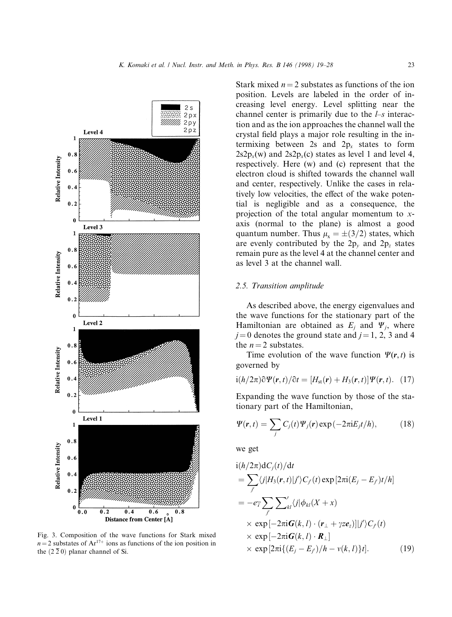

Fig. 3. Composition of the wave functions for Stark mixed  $n = 2$  substates of Ar<sup>17+</sup> ions as functions of the ion position in the  $(2\bar{2}0)$  planar channel of Si.

Stark mixed  $n = 2$  substates as functions of the ion position. Levels are labeled in the order of increasing level energy. Level splitting near the channel center is primarily due to the  $l$ -s interaction and as the ion approaches the channel wall the crystal field plays a major role resulting in the intermixing between 2s and  $2p_x$  states to form  $2s2p_x(w)$  and  $2s2p_x(c)$  states as level 1 and level 4, respectively. Here (w) and (c) represent that the electron cloud is shifted towards the channel wall and center, respectively. Unlike the cases in relatively low velocities, the effect of the wake potential is negligible and as a consequence, the projection of the total angular momentum to xaxis (normal to the plane) is almost a good quantum number. Thus  $\mu_x = \pm (3/2)$  states, which are evenly contributed by the  $2p_y$  and  $2p_z$  states remain pure as the level 4 at the channel center and as level 3 at the channel wall.

#### 2.5. Transition amplitude

As described above, the energy eigenvalues and the wave functions for the stationary part of the Hamiltonian are obtained as  $E_i$  and  $\Psi_i$ , where  $j = 0$  denotes the ground state and  $j = 1, 2, 3$  and 4 the  $n = 2$  substates.

Time evolution of the wave function  $\Psi(\mathbf{r},t)$  is governed by

$$
i(h/2\pi)\partial\Psi(\mathbf{r},t)/\partial t=[H_{\rm st}(\mathbf{r})+H_3(\mathbf{r},t)]\Psi(\mathbf{r},t). \quad (17)
$$

Expanding the wave function by those of the stationary part of the Hamiltonian,

$$
\Psi(\mathbf{r},t) = \sum_{j} C_{j}(t) \Psi_{j}(\mathbf{r}) \exp(-2\pi i E_{j} t/h), \qquad (18)
$$

we get

$$
i(h/2\pi)dC_j(t)/dt
$$
  
=  $\sum_{j'} \langle j|H_3(\mathbf{r},t)|j'\rangle C_{j'}(t) \exp[2\pi i(E_j - E_{j'})t/h]$   
=  $-e\gamma \sum_{j'} \sum_{kl} \langle j|\phi_{kl}(X + x)$   
 $\times \exp[-2\pi i \mathbf{G}(k, l) \cdot (\mathbf{r}_{\perp} + \gamma z \mathbf{e}_z)]|j'\rangle C_{j'}(t)$   
 $\times \exp[-2\pi i \mathbf{G}(k, l) \cdot \mathbf{R}_{\perp}]$   
 $\times \exp[2\pi i \{(E_j - E_{j})/h - v(k, l)\}t].$  (19)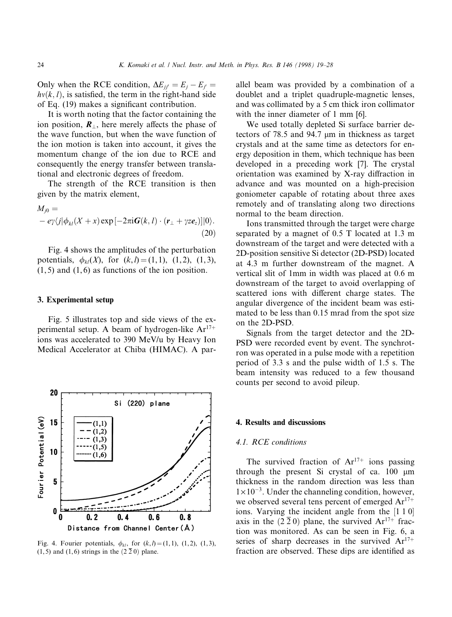Only when the RCE condition,  $\Delta E_{ji'} = E_i - E_{j'} =$  $hv(k, l)$ , is satisfied, the term in the right-hand side of Eq.  $(19)$  makes a significant contribution.

It is worth noting that the factor containing the ion position,  $\mathbf{R}_{\perp}$ , here merely affects the phase of the wave function, but when the wave function of the ion motion is taken into account, it gives the momentum change of the ion due to RCE and consequently the energy transfer between translational and electronic degrees of freedom.

The strength of the RCE transition is then given by the matrix element,

$$
M_{j0} = -e\gamma\langle j|\phi_{kl}(X+x)\exp[-2\pi i\boldsymbol{G}(k,l)\cdot(\boldsymbol{r}_{\perp}+ \gamma ze_z)]|0\rangle.
$$
\n(20)

Fig. 4 shows the amplitudes of the perturbation potentials,  $\phi_{kl}(X)$ , for  $(k, l) = (1, 1), (1, 2), (1, 3),$  $(1, 5)$  and  $(1, 6)$  as functions of the ion position.

#### 3. Experimental setup

Fig. 5 illustrates top and side views of the experimental setup. A beam of hydrogen-like  $Ar^{17+}$ ions was accelerated to 390 MeV/u by Heavy Ion Medical Accelerator at Chiba (HIMAC). A par-



Fig. 4. Fourier potentials,  $\phi_{kl}$ , for  $(k,l) = (1,1), (1,2), (1,3),$  $(1,5)$  and  $(1,6)$  strings in the  $(2\bar{2}0)$  plane.

allel beam was provided by a combination of a doublet and a triplet quadruple-magnetic lenses, and was collimated by a 5 cm thick iron collimator with the inner diameter of 1 mm [6].

We used totally depleted Si surface barrier detectors of  $78.5$  and  $94.7 \mu m$  in thickness as target crystals and at the same time as detectors for energy deposition in them, which technique has been developed in a preceding work [7]. The crystal orientation was examined by X-ray diffraction in advance and was mounted on a high-precision goniometer capable of rotating about three axes remotely and of translating along two directions normal to the beam direction.

Ions transmitted through the target were charge separated by a magnet of 0.5 T located at 1.3 m downstream of the target and were detected with a 2D-position sensitive Si detector (2D-PSD) located at 4.3 m further downstream of the magnet. A vertical slit of 1mm in width was placed at 0.6 m downstream of the target to avoid overlapping of scattered ions with different charge states. The angular divergence of the incident beam was estimated to be less than 0.15 mrad from the spot size on the 2D-PSD.

Signals from the target detector and the 2D-PSD were recorded event by event. The synchrotron was operated in a pulse mode with a repetition period of 3.3 s and the pulse width of 1.5 s. The beam intensity was reduced to a few thousand counts per second to avoid pileup.

#### 4. Results and discussions

#### 4.1. RCE conditions

The survived fraction of  $Ar^{17+}$  ions passing through the present Si crystal of ca.  $100 \mu m$ thickness in the random direction was less than  $1\times10^{-3}$ . Under the channeling condition, however, we observed several tens percent of emerged  $Ar^{17+}$ ions. Varying the incident angle from the  $[1\ 1\ 0]$ axis in the  $(2\bar{2} 0)$  plane, the survived Ar<sup>17+</sup> fraction was monitored. As can be seen in Fig. 6, a series of sharp decreases in the survived  $Ar^{17+}$ fraction are observed. These dips are identified as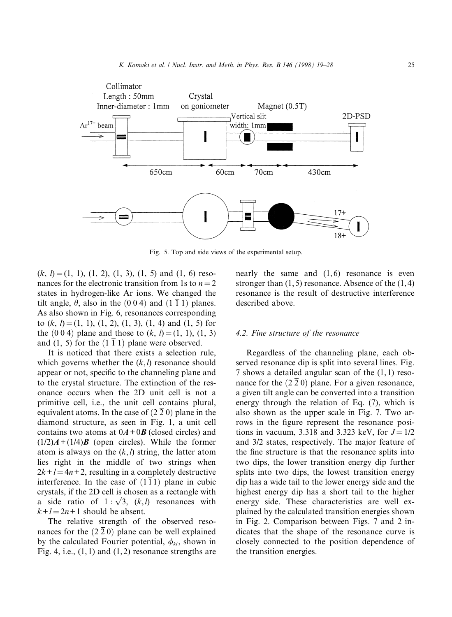

Fig. 5. Top and side views of the experimental setup.

 $(k, l) = (1, 1), (1, 2), (1, 3), (1, 5)$  and  $(1, 6)$  resonances for the electronic transition from 1s to  $n = 2$ states in hydrogen-like Ar ions. We changed the tilt angle,  $\theta$ , also in the (0 0 4) and (1  $\overline{1}$  1) planes. As also shown in Fig. 6, resonances corresponding to  $(k, l) = (1, 1), (1, 2), (1, 3), (1, 4)$  and  $(1, 5)$  for the  $(0 \ 0 \ 4)$  plane and those to  $(k, l) = (1, 1), (1, 3)$ and (1, 5) for the  $(1\bar{1}1)$  plane were observed.

It is noticed that there exists a selection rule, which governs whether the  $(k, l)$  resonance should appear or not, specific to the channeling plane and to the crystal structure. The extinction of the resonance occurs when the 2D unit cell is not a primitive cell, i.e., the unit cell contains plural, equivalent atoms. In the case of  $(2\bar{2}\,0)$  plane in the diamond structure, as seen in Fig. 1, a unit cell contains two atoms at  $0A+0B$  (closed circles) and  $(1/2)A + (1/4)B$  (open circles). While the former atom is always on the  $(k, l)$  string, the latter atom lies right in the middle of two strings when  $2k+l = 4n+2$ , resulting in a completely destructive interference. In the case of  $(1\bar{1}1)$  plane in cubic crystals, if the 2D cell is chosen as a rectangle with crystals, if the 2D cell is chosen as a rectangle with<br>a side ratio of  $1 : \sqrt{3}$ ,  $(k,l)$  resonances with  $k+l = 2n+1$  should be absent.

The relative strength of the observed resonances for the  $(2\bar{2} 0)$  plane can be well explained by the calculated Fourier potential,  $\phi_{kl}$ , shown in Fig. 4, i.e.,  $(1,1)$  and  $(1,2)$  resonance strengths are

nearly the same and (1,6) resonance is even stronger than  $(1, 5)$  resonance. Absence of the  $(1, 4)$ resonance is the result of destructive interference described above.

#### 4.2. Fine structure of the resonance

Regardless of the channeling plane, each observed resonance dip is split into several lines. Fig. 7 shows a detailed angular scan of the (1,1) resonance for the  $(2\bar{2} 0)$  plane. For a given resonance, a given tilt angle can be converted into a transition energy through the relation of Eq. (7), which is also shown as the upper scale in Fig. 7. Two arrows in the figure represent the resonance positions in vacuum, 3.318 and 3.323 keV, for  $J = 1/2$ and 3/2 states, respectively. The major feature of the fine structure is that the resonance splits into two dips, the lower transition energy dip further splits into two dips, the lowest transition energy dip has a wide tail to the lower energy side and the highest energy dip has a short tail to the higher energy side. These characteristics are well explained by the calculated transition energies shown in Fig. 2. Comparison between Figs. 7 and 2 indicates that the shape of the resonance curve is closely connected to the position dependence of the transition energies.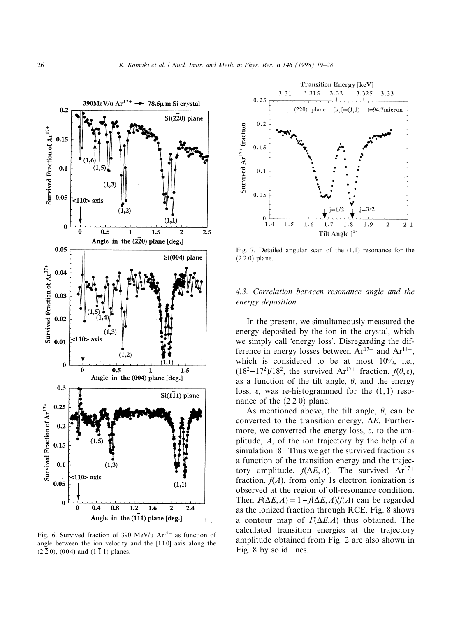

Fig. 6. Survived fraction of 390 MeV/u  $Ar^{17+}$  as function of angle between the ion velocity and the [110] axis along the  $(2\bar{2}0)$ ,  $(004)$  and  $(1\bar{1}1)$  planes.



Fig. 7. Detailed angular scan of the (1,1) resonance for the  $(2\bar{2}0)$  plane.

# 4.3. Correlation between resonance angle and the energy deposition

In the present, we simultaneously measured the energy deposited by the ion in the crystal, which we simply call 'energy loss'. Disregarding the difference in energy losses between  $Ar^{17+}$  and  $Ar^{18+}$ , which is considered to be at most 10%, i.e.,  $(18^2-17^2)/18^2$ , the survived Ar<sup>17+</sup> fraction,  $f(\theta,\varepsilon)$ , as a function of the tilt angle,  $\theta$ , and the energy loss,  $\varepsilon$ , was re-histogrammed for the  $(1,1)$  resonance of the  $(2 2 0)$  plane.

As mentioned above, the tilt angle,  $\theta$ , can be converted to the transition energy,  $\Delta E$ . Furthermore, we converted the energy loss,  $\varepsilon$ , to the amplitude, A, of the ion trajectory by the help of a simulation [8]. Thus we get the survived fraction as a function of the transition energy and the trajectory amplitude,  $f(\Delta E, A)$ . The survived  $Ar^{17+}$ fraction,  $f(A)$ , from only 1s electron ionization is observed at the region of off-resonance condition. Then  $F(\Delta E, A) = 1 - f(\Delta E, A)/f(A)$  can be regarded as the ionized fraction through RCE. Fig. 8 shows a contour map of  $F(\Delta E, A)$  thus obtained. The calculated transition energies at the trajectory amplitude obtained from Fig. 2 are also shown in Fig. 8 by solid lines.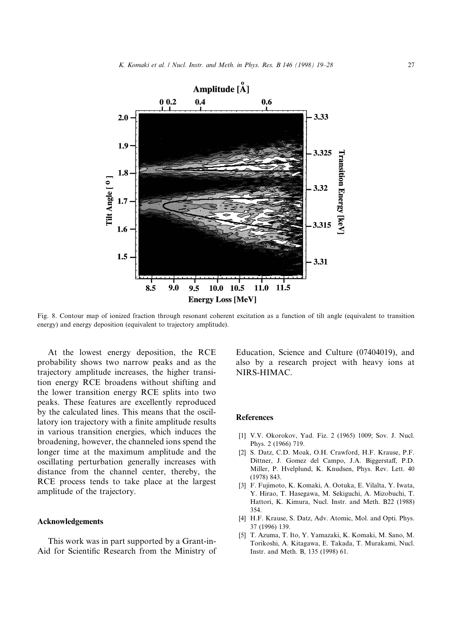

Fig. 8. Contour map of ionized fraction through resonant coherent excitation as a function of tilt angle (equivalent to transition energy) and energy deposition (equivalent to trajectory amplitude).

At the lowest energy deposition, the RCE probability shows two narrow peaks and as the trajectory amplitude increases, the higher transition energy RCE broadens without shifting and the lower transition energy RCE splits into two peaks. These features are excellently reproduced by the calculated lines. This means that the oscillatory ion trajectory with a finite amplitude results in various transition energies, which induces the broadening, however, the channeled ions spend the longer time at the maximum amplitude and the oscillating perturbation generally increases with distance from the channel center, thereby, the RCE process tends to take place at the largest amplitude of the trajectory.

## Acknowledgements

This work was in part supported by a Grant-in-Aid for Scientific Research from the Ministry of Education, Science and Culture (07404019), and also by a research project with heavy ions at NIRS-HIMAC.

### **References**

- [1] V.V. Okorokov, Yad. Fiz. 2 (1965) 1009; Sov. J. Nucl. Phys. 2 (1966) 719.
- [2] S. Datz, C.D. Moak, O.H. Crawford, H.F. Krause, P.F. Dittner, J. Gomez del Campo, J.A. Biggerstaff, P.D. Miller, P. Hvelplund, K. Knudsen, Phys. Rev. Lett. 40 (1978) 843.
- [3] F. Fujimoto, K. Komaki, A. Ootuka, E. Vilalta, Y. Iwata, Y. Hirao, T. Hasegawa, M. Sekiguchi, A. Mizobuchi, T. Hattori, K. Kimura, Nucl. Instr. and Meth. B22 (1988) 354.
- [4] H.F. Krause, S. Datz, Adv. Atomic, Mol. and Opti. Phys. 37 (1996) 139.
- [5] T. Azuma, T. Ito, Y. Yamazaki, K. Komaki, M. Sano, M. Torikoshi, A. Kitagawa, E. Takada, T. Murakami, Nucl. Instr. and Meth. B, 135 (1998) 61.